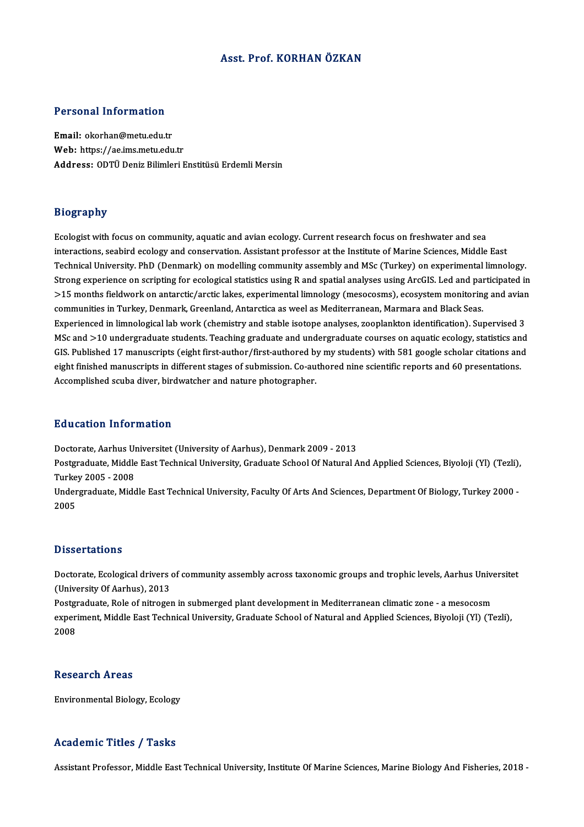#### Asst. Prof. KORHAN ÖZKAN

#### Personal Information

Email: okorhan@metu.edu.tr Web: https://ae.ims.metu.edu.tr Address: ODTÜ Deniz Bilimleri Enstitüsü Erdemli Mersin

#### Biography

Ecologist with focus on community, aquatic and avian ecology. Current research focus on freshwater and sea interactions, seabird focus on community, aquatic and avian ecology. Current research focus on freshwater and sea<br>interactions, seabird ecology and conservation. Assistant professor at the Institute of Marine Sciences, Mid Ecologist with focus on community, aquatic and avian ecology. Current research focus on freshwater and sea<br>interactions, seabird ecology and conservation. Assistant professor at the Institute of Marine Sciences, Middle Eas interactions, seabird ecology and conservation. Assistant professor at the Institute of Marine Sciences, Middle East<br>Technical University. PhD (Denmark) on modelling community assembly and MSc (Turkey) on experimental limn Technical University. PhD (Denmark) on modelling community assembly and MSc (Turkey) on experimental limnology.<br>Strong experience on scripting for ecological statistics using R and spatial analyses using ArcGIS. Led and pa Strong experience on scripting for ecological statistics using R and spatial analyses using ArcGIS. Led and pai<br>>15 months fieldwork on antarctic/arctic lakes, experimental limnology (mesocosms), ecosystem monitorin<br>commun Experienced in Turkey, Denmark, Greenland, Antarctica as weel as Mediterranean, Marmara and Black Seas.<br>Experienced in limnological lab work (chemistry and stable isotope analyses, zooplankton identification). Supervised 3 communities in Turkey, Denmark, Greenland, Antarctica as weel as Mediterranean, Marmara and Black Seas.<br>Experienced in limnological lab work (chemistry and stable isotope analyses, zooplankton identification). Supervised 3 Experienced in limnological lab work (chemistry and stable isotope analyses, zooplankton identification). Supervised 3<br>MSc and >10 undergraduate students. Teaching graduate and undergraduate courses on aquatic ecology, sta MSc and >10 undergraduate students. Teaching graduate and undergraduate courses on aquatic ecology, statistics and<br>GIS. Published 17 manuscripts (eight first-author/first-authored by my students) with 581 google scholar ci GIS. Published 17 manuscripts (eight first-author/first-authored by my students) with 581 google scholar citations and<br>eight finished manuscripts in different stages of submission. Co-authored nine scientific reports and 6

#### Education Information

Doctorate, Aarhus Universitet (University of Aarhus), Denmark 2009 - 2013

Pu u outron Throf Inderon<br>Doctorate, Aarhus Universitet (University of Aarhus), Denmark 2009 - 2013<br>Postgraduate, Middle East Technical University, Graduate School Of Natural And Applied Sciences, Biyoloji (Yl) (Tezli), Doctorate, Aarhus Ul<br>Postgraduate, Middle<br>Turkey 2005 - 2008<br>Undergraduate Mide Postgraduate, Middle East Technical University, Graduate School Of Natural And Applied Sciences, Biyoloji (Yl) (Tezli),<br>Turkey 2005 - 2008<br>Undergraduate, Middle East Technical University, Faculty Of Arts And Sciences, Depa

Turkey 2005 - 2008<br>Undergraduate, Middle East Technical University, Faculty Of Arts And Sciences, Department Of Biology, Turkey 2000 -<br>2005

#### **Dissertations**

Dissertations<br>Doctorate, Ecological drivers of community assembly across taxonomic groups and trophic levels, Aarhus Universitet<br>(University Of Aarhus), 2013 Existent<br>Doctorate, Ecological drivers<br>(University Of Aarhus), 2013<br>Restaudate, Bele of nimeses Doctorate, Ecological drivers of community assembly across taxonomic groups and trophic levels, Aarhus Unive<br>(University Of Aarhus), 2013<br>Postgraduate, Role of nitrogen in submerged plant development in Mediterranean clima

(University Of Aarhus), 2013<br>Postgraduate, Role of nitrogen in submerged plant development in Mediterranean climatic zone - a mesocosm<br>experiment, Middle East Technical University, Graduate School of Natural and Applied Sc Postgi<br>exper:<br>2008 2008<br>Research Areas

Environmental Biology, Ecology

#### Academic Titles / Tasks

Assistant Professor, Middle East Technical University, Institute Of Marine Sciences, Marine Biology And Fisheries, 2018 -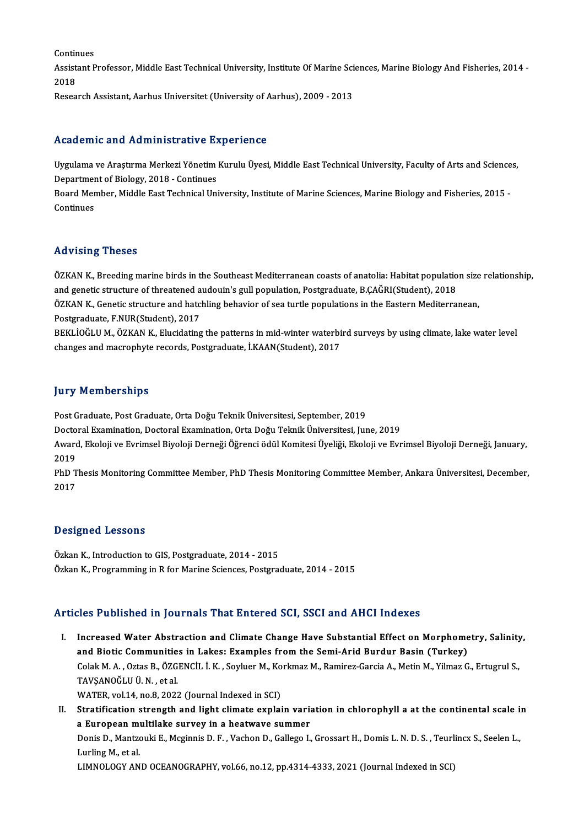Continues Continues<br>Assistant Professor, Middle East Technical University, Institute Of Marine Sciences, Marine Biology And Fisheries, 2014 -<br>2018 Contir<br>Assist<br>2018<br>Peses 2018<br>Research Assistant, Aarhus Universitet (University of Aarhus), 2009 - 2013

#### Academic and Administrative Experience

Academic and Administrative Experience<br>Uygulama ve Araştırma Merkezi Yönetim Kurulu Üyesi, Middle East Technical University, Faculty of Arts and Sciences,<br>Penartment of Bielegy, 2018, "Continues nceaechno and nammneerderve 27<br>Uygulama ve Araştırma Merkezi Yönetim<br>Department of Biology, 2018 - Continues<br>Beard Member, Middle Fast Technical Uni Uygulama ve Araştırma Merkezi Yönetim Kurulu Üyesi, Middle East Technical University, Faculty of Arts and Science<br>Department of Biology, 2018 - Continues<br>Board Member, Middle East Technical University, Institute of Marine

Departmer<br>Board Mer<br>Continues

# Advising Theses

Advising Theses<br>ÖZKAN K., Breeding marine birds in the Southeast Mediterranean coasts of anatolia: Habitat population size relationship,<br>and genetic etweture of threetened audouin's gull population. Bestanduste, B.CACPI(St rta vienig Tireses<br>ÖZKAN K., Breeding marine birds in the Southeast Mediterranean coasts of anatolia: Habitat populatio<br>and genetic structure of threatened audouin's gull population, Postgraduate, B.ÇAĞRI(Student), 2018<br>ÖZ ÖZKAN K., Breeding marine birds in the Southeast Mediterranean coasts of anatolia: Habitat population size<br>and genetic structure of threatened audouin's gull population, Postgraduate, B.ÇAĞRI(Student), 2018<br>ÖZKAN K., Genet

and genetic structure of threatened audouin's gull population, Postgraduate, B.ÇAĞRI(Student), 2018<br>ÖZKAN K., Genetic structure and hatchling behavior of sea turtle populations in the Eastern Mediterranean,<br>Postgraduate, F

BEKLIOĞLU M., ÖZKAN K., Elucidating the patterns in mid-winter waterbird surveys by using climate, lake water level changes and macrophyte records, Postgraduate, İ.KAAN(Student), 2017

#### **Jury Memberships**

Post Graduate, Post Graduate, Orta Doğu Teknik Üniversitesi, September, 2019

DoctoralExamination,DoctoralExamination,OrtaDoğuTeknikÜniversitesi, June,2019

Post Graduate, Post Graduate, Orta Doğu Teknik Üniversitesi, September, 2019<br>Doctoral Examination, Doctoral Examination, Orta Doğu Teknik Üniversitesi, June, 2019<br>Award, Ekoloji ve Evrimsel Biyoloji Derneği Öğrenci ödül Ko Docto<br>Award<br>2019<br>PhD T Award, Ekoloji ve Evrimsel Biyoloji Derneği Öğrenci ödül Komitesi Üyeliği, Ekoloji ve Evrimsel Biyoloji Derneği, January,<br>2019<br>PhD Thesis Monitoring Committee Member, PhD Thesis Monitoring Committee Member, Ankara Üniversi

2019<br>PhD T<br>2017

# Designed Lessons

Özkan K., Introduction to GIS, Postgraduate, 2014 - 2015 Özkan K., Programming in R for Marine Sciences, Postgraduate, 2014 - 2015

#### Articles Published in Journals That Entered SCI, SSCI and AHCI Indexes

rticles Published in Journals That Entered SCI, SSCI and AHCI Indexes<br>I. Increased Water Abstraction and Climate Change Have Substantial Effect on Morphometry, Salinity,<br>and Bistis Communities in Lakes: Examples from the S and Biotic Communities in Lakes: Examples from the Substantial Effect on Morphome<br>and Biotic Communities in Lakes: Examples from the Semi-Arid Burdur Basin (Turkey)<br>Colak M. A. Ottas B. ÖZCENCU J. K. Soulvan M. Korliman M. Increased Water Abstraction and Climate Change Have Substantial Effect on Morphometry, Salinity<br>and Biotic Communities in Lakes: Examples from the Semi-Arid Burdur Basin (Turkey)<br>Colak M. A. , Oztas B., ÖZGENCİL İ. K. , So and Biotic Communities in Lakes: Examples from the Semi-Arid Burdur Basin (Turkey)<br>Colak M. A. , Oztas B., ÖZGENCİL İ. K. , Soyluer M., Korkmaz M., Ramirez-Garcia A., Metin M., Yilmaz G., Ertugrul S.,<br>TAVŞANOĞLU Ü. N. , et Colak M. A. , Oztas B., ÖZGENCİL İ. K. , Soyluer M., Ko<br>TAVŞANOĞLU Ü. N. , et al.<br>WATER, vol.14, no.8, 2022 (Journal Indexed in SCI)<br>Stratification strangth and light slimate evnlai

TAVŞANOĞLU Ü.N., et al.<br>WATER, vol.14, no.8, 2022 (Journal Indexed in SCI)<br>II. Stratification strength and light climate explain variation in chlorophyll a at the continental scale in<br>a European multilake survey in a bestw WATER, vol.14, no.8, 2022 (Journal Indexed in SCI)<br>Stratification strength and light climate explain varia<br>a European multilake survey in a heatwave summer<br>Ponis D. Mantrouki E. Maginnis D. E. Vashan D. Gallage L Stratification strength and light climate explain variation in chlorophyll a at the continental scale i<mark>i</mark><br>a European multilake survey in a heatwave summer<br>Donis D., Mantzouki E., Mcginnis D. F. , Vachon D., Gallego I., Gr

a European multilake survey in a heatwave summer<br>Donis D., Mantzouki E., Mcginnis D. F. , Vachon D., Gallego I., Grossart H., Domis L. N. D. S. , Teurlincx S., Seelen L.,<br>Lurling M., et al.

LIMNOLOGY AND OCEANOGRAPHY, vol.66, no.12, pp.4314-4333, 2021 (Journal Indexed in SCI)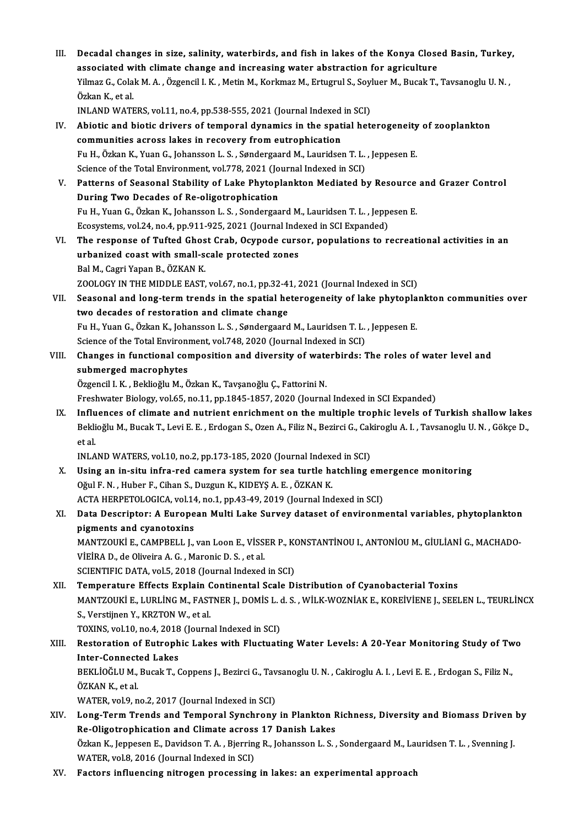III. Decadal changes in size, salinity, waterbirds, and fish in lakes of the Konya Closed Basin, Turkey,<br>associated with climate change and increasing water abstraction for equiculture. Decadal changes in size, salinity, waterbirds, and fish in lakes of the Konya Close<br>associated with climate change and increasing water abstraction for agriculture<br>Vilmag C. Colak M. A. Özgensil L.V. Metin M. Korkmag M. Ex Decadal changes in size, salinity, waterbirds, and fish in lakes of the Konya Closed Basin, Turkey<br>associated with climate change and increasing water abstraction for agriculture<br>Yilmaz G., Colak M. A. , Özgencil I. K. , M associated with climate change and increasing water abstraction for agriculture<br>Yilmaz G., Colak M. A. , Özgencil I. K. , Metin M., Korkmaz M., Ertugrul S., Soyluer M., Bucak T., Tavsanoglu U. N. ,<br>Özkan K.. et al. Yilmaz G., Colak M. A. , Özgencil I. K. , Metin M., Korkmaz M., Ertugrul S., Soyl<br>Özkan K., et al.<br>INLAND WATERS, vol.11, no.4, pp.538-555, 2021 (Journal Indexed in SCI)<br>Abiotic and biotic drivers of termoral dynamics in t IV. Abiotic and biotic drivers of temporal dynamics in the spatial heterogeneity of zooplankton INLAND WATERS, vol.11, no.4, pp.538-555, 2021 (Journal Indexed<br>Abiotic and biotic drivers of temporal dynamics in the spat<br>communities across lakes in recovery from eutrophication<br>Fu H. Örkan K. Vuan G. Johansson J. S. San FuH.,ÖzkanK.,YuanG., JohanssonL.S. ,SøndergaardM.,LauridsenT.L. , JeppesenE. communities across lakes in recovery from eutrophication<br>Fu H., Özkan K., Yuan G., Johansson L. S. , Søndergaard M., Lauridsen T. L.<br>Science of the Total Environment, vol.778, 2021 (Journal Indexed in SCI)<br>Patterns of Sess Fu H., Özkan K., Yuan G., Johansson L. S. , Søndergaard M., Lauridsen T. L. , Jeppesen E.<br>Science of the Total Environment, vol.778, 2021 (Journal Indexed in SCI)<br>V. Patterns of Seasonal Stability of Lake Phytoplankton Med Science of the Total Environment, vol.778, 2021 (Jo<br>Patterns of Seasonal Stability of Lake Phytop<br>During Two Decades of Re-oligotrophication<br>Fu H. Yuan C. Örkan K. Johansson J. S. Sondorsso Patterns of Seasonal Stability of Lake Phytoplankton Mediated by Resource<br>During Two Decades of Re-oligotrophication<br>Fu H., Yuan G., Özkan K., Johansson L. S. , Sondergaard M., Lauridsen T. L. , Jeppesen E.<br>Feogyatores vol During Two Decades of Re-oligotrophication<br>Fu H., Yuan G., Özkan K., Johansson L. S. , Sondergaard M., Lauridsen T. L. , Jeppesen E.<br>Ecosystems, vol.24, no.4, pp.911-925, 2021 (Journal Indexed in SCI Expanded) Fu H., Yuan G., Özkan K., Johansson L. S. , Sondergaard M., Lauridsen T. L. , Jeppesen E.<br>Ecosystems, vol.24, no.4, pp.911-925, 2021 (Journal Indexed in SCI Expanded)<br>VI. The response of Tufted Ghost Crab, Ocypode cursor, Ecosystems, vol.24, no.4, pp.911-925, 2021 (Journal Inder The response of Tufted Ghost Crab, Ocypode curs<br>urbanized coast with small-scale protected zones<br>Pel M. Cegri Vapan B. ÖZKAN K The response of Tufted Ghos<br>urbanized coast with small-s<br>Bal M., Cagri Yapan B., ÖZKAN K.<br>7001 OCV IN THE MIDDLE FAST urbanized coast with small-scale protected zones<br>Bal M., Cagri Yapan B., ÖZKAN K.<br>ZOOLOGY IN THE MIDDLE EAST, vol.67, no.1, pp.32-41, 2021 (Journal Indexed in SCI) Bal M., Cagri Yapan B., ÖZKAN K.<br>ZOOLOGY IN THE MIDDLE EAST, vol.67, no.1, pp.32-41, 2021 (Journal Indexed in SCI)<br>VII. Seasonal and long-term trends in the spatial heterogeneity of lake phytoplankton communities over<br>two ZOOLOGY IN THE MIDDLE EAST, vol.67, no.1, pp.32-4<br>Seasonal and long-term trends in the spatial he<br>two decades of restoration and climate change<br>Fu H. Yuan G. Örkan K. Johansson J. S. Sandorsond Seasonal and long-term trends in the spatial heterogeneity of lake phytopla<br>two decades of restoration and climate change<br>Fu H., Yuan G., Özkan K., Johansson L. S. , Søndergaard M., Lauridsen T. L. , Jeppesen E.<br>Ssiance of two decades of restoration and climate change<br>Fu H., Yuan G., Özkan K., Johansson L. S. , Søndergaard M., Lauridsen T. L. , Jeppesen E.<br>Science of the Total Environment, vol.748, 2020 (Journal Indexed in SCI) VIII. Changes in functional composition and diversity of waterbirds: The roles of water level and submerged macrophytes Özgencil I.K., Beklioğlu M., Özkan K., Tavşanoğlu Ç., Fattorini N. Freshwater Biology, vol.65, no.11, pp.1845-1857, 2020 (Journal Indexed in SCI Expanded) IX. Influences of climate and nutrient enrichment on the multiple trophic levels of Turkish shallow lakes Freshwater Biology, vol.65, no.11, pp.1845-1857, 2020 (Journal Indexed in SCI Expanded)<br>Influences of climate and nutrient enrichment on the multiple trophic levels of Turkish shallow lakes<br>Beklioğlu M., Bucak T., Levi E. I<mark>nflu</mark><br>Bekli<br>et al.<br>INLA Beklioğlu M., Bucak T., Levi E. E. , Erdogan S., Ozen A., Filiz N., Bezirci G., Cak<br>et al.<br>INLAND WATERS, vol.10, no.2, pp.173-185, 2020 (Journal Indexed in SCI)<br>Heing an in situ infra nod samera system for see turtle bats et al.<br>INLAND WATERS, vol.10, no.2, pp.173-185, 2020 (Journal Indexed in SCI)<br>X. Using an in-situ infra-red camera system for sea turtle hatchling emergence monitoring<br>Oğul F. N. , Huber F., Cihan S., Duzgun K., KIDEYŞ A. INLAND WATERS, vol.10, no.2, pp.173-185, 2020 (Journal Indexed in SCI) Using an in-situ infra-red camera system for sea turtle hatchling emory of the F., Cihan S., Duzgun K., KIDEYS A. E. , ÖZKAN K.<br>ACTA HERPETOLOGICA, vol.14, no.1, pp.43-49, 2019 (Journal Indexed in SCI)<br>Data Deserintery A E XI. Data Descriptor: A European Multi Lake Survey dataset of environmental variables, phytoplankton pigments and cyanotoxins ACTA HERPETOLOGICA, vol.14<br>Data Descriptor: A Europe<br>pigments and cyanotoxins<br>MANTZOUKI E CAMPPELL L Data Descriptor: A European Multi Lake Survey dataset of environmental variables, phytoplankton<br>pigments and cyanotoxins<br>MANTZOUKİ E., CAMPBELL J., van Loon E., VİSSER P., KONSTANTİNOU I., ANTONİOU M., GİULİANİ G., MACHADO pigments and cyanotoxins<br>MANTZOUKİ E., CAMPBELL J., van Loon E., VİSSI<br>VİEİRA D., de Oliveira A. G. , Maronic D. S. , et al.<br>SCIENTIEIC DATA .vel 5, 2019 (Jaunnal Indexed MANTZOUKİ E., CAMPBELL J., van Loon E., VİSSER P., KONDIBIRISI<br>SCIENTIFIC DATA, vol.5, 2018 (Journal Indexed in SCI)<br>SCIENTIFIC DATA, vol.5, 2018 (Journal Indexed in SCI)<br>Temperature Effects Evrlain Centinental Scale Di VIEIRA D., de Oliveira A. G. , Maronic D. S. , et al.<br>SCIENTIFIC DATA, vol.5, 2018 (Journal Indexed in SCI)<br>XII. Temperature Effects Explain Continental Scale Distribution of Cyanobacterial Toxins<br>MANTZQUKI E LUBLING M. FA SCIENTIFIC DATA, vol.5, 2018 (Journal Indexed in SCI)<br>Temperature Effects Explain Continental Scale Distribution of Cyanobacterial Toxins<br>MANTZOUKİ E., LURLİNG M., FASTNER J., DOMİS L. d. S. , WİLK-WOZNİAK E., KOREİVİENE J Temperature Effects Explain C<br>MANTZOUKİ E., LURLİNG M., FAST<br>S., Verstijnen Y., KRZTON W., et al.<br>TOVINS. vol 10. no. 4. 2018 (Journe MANTZOUKİ E., LURLİNG M., FASTNER J., DOMİS L. d.<br>S., Verstijnen Y., KRZTON W., et al.<br>TOXINS, vol.10, no.4, 2018 (Journal Indexed in SCI)<br>Besteration of Eutrophis Lakes with Elustuati S., Verstijnen Y., KRZTON W., et al.<br>TOXINS, vol.10, no.4, 2018 (Journal Indexed in SCI)<br>XIII. Restoration of Eutrophic Lakes with Fluctuating Water Levels: A 20-Year Monitoring Study of Two<br>Inter Connected Lakes TOXINS, vol.10, no.4, 2018 (Journal Indexed in SCI)<br>Restoration of Eutrophic Lakes with Fluctuati<br>Inter-Connected Lakes Restoration of Eutrophic Lakes with Fluctuating Water Levels: A 20-Year Monitoring Study of Tw<br>Inter-Connected Lakes<br>BEKLİOĞLU M., Bucak T., Coppens J., Bezirci G., Tavsanoglu U.N. , Cakiroglu A. I. , Levi E. E. , Erdogan I<mark>nter-Connect</mark><br>BEKLİOĞLU M.,<br>ÖZKAN K., et al.<br>WATER. vol 9. n BEKLİOĞLU M., Bucak T., Coppens J., Bezirci G., Tav<br>ÖZKAN K., et al.<br>WATER, vol.9, no.2, 2017 (Journal Indexed in SCI)<br>Long Tour, Tronds and Tomponal Synghrony ÖZKAN K., et al.<br>WATER, vol.9, no.2, 2017 (Journal Indexed in SCI)<br>XIV. Long-Term Trends and Temporal Synchrony in Plankton Richness, Diversity and Biomass Driven by<br>Pe Oligatrophication and Climate egness 17 Danish Le WATER, vol.9, no.2, 2017 (Journal Indexed in SCI)<br>Long-Term Trends and Temporal Synchrony in Plankton F<br>Re-Oligotrophication and Climate across 17 Danish Lakes<br>Örkan K. Jannesen E. Devideen T. A., Bierring B. Johansson J. Long-Term Trends and Temporal Synchrony in Plankton Richness, Diversity and Biomass Driven<br>Re-Oligotrophication and Climate across 17 Danish Lakes<br>Özkan K., Jeppesen E., Davidson T. A. , Bjerring R., Johansson L. S. , Sond Re-Oligotrophication and Climate across 17 Danish Lakes<br>Özkan K., Jeppesen E., Davidson T. A. , Bjerring R., Johansson L. S. , Sondergaard M., Lauridsen T. L. , Svenning J.<br>WATER, vol.8, 2016 (Journal Indexed in SCI) XV. Factors influencing nitrogen processing in lakes: an experimental approach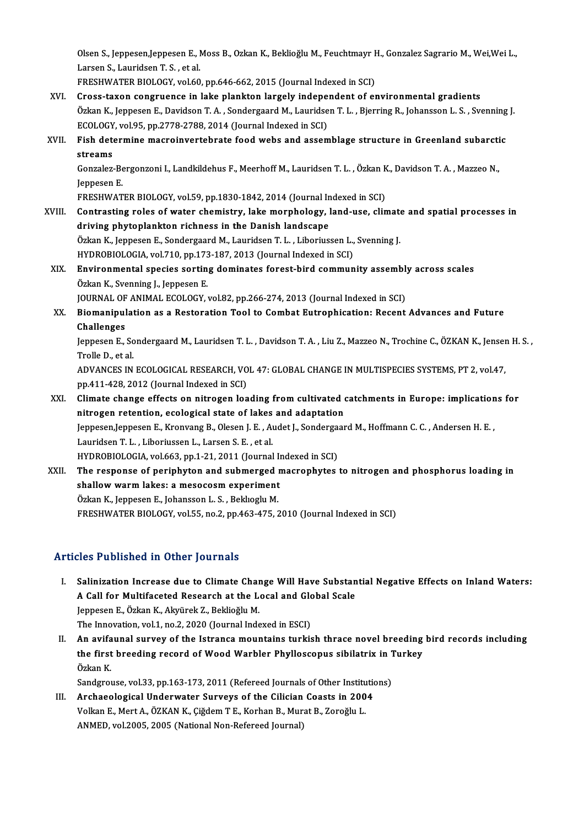Olsen S., Jeppesen,Jeppesen E., Moss B., Ozkan K., Beklioğlu M., Feuchtmayr H., Gonzalez Sagrario M., Wei,Wei L.,<br>Larsen S. Lauridsen T. S., et al. Olsen S., Jeppesen,Jeppesen E., l<br>Larsen S., Lauridsen T. S. , et al.<br>ERESHWATER RIOLOCY, vel 60 Olsen S., Jeppesen,Jeppesen E., Moss B., Ozkan K., Beklioğlu M., Feuchtmayr I<br>Larsen S., Lauridsen T. S. , et al.<br>FRESHWATER BIOLOGY, vol.60, pp.646-662, 2015 (Journal Indexed in SCI)<br>Crees taven sensyuense in Jake plankte

- Larsen S., Lauridsen T. S., et al.<br>FRESHWATER BIOLOGY, vol.60, pp.646-662, 2015 (Journal Indexed in SCI)<br>XVI. Cross-taxon congruence in lake plankton largely independent of environmental gradients<br>Örken K. Japassan E. Davi FRESHWATER BIOLOGY, vol.60, pp.646-662, 2015 (Journal Indexed in SCI)<br>Cross-taxon congruence in lake plankton largely independent of environmental gradients<br>Özkan K., Jeppesen E., Davidson T.A., Sondergaard M., Lauridsen T Cross-taxon congruence in lake plankton largely indepe<br>Özkan K., Jeppesen E., Davidson T. A. , Sondergaard M., Lauridse<br>ECOLOGY, vol.95, pp.2778-2788, 2014 (Journal Indexed in SCI)<br>Fish determine messeinvertebrate food web Özkan K., Jeppesen E., Davidson T. A. , Sondergaard M., Lauridsen T. L. , Bjerring R., Johansson L. S. , Svenning<br>ECOLOGY, vol.95, pp.2778-2788, 2014 (Journal Indexed in SCI)<br>XVII. Fish determine macroinvertebrate food web
- ECOLOGY<br>Fish det<br>streams<br>Congelez Fish determine macroinvertebrate food webs and assemblage structure in Greenland subarcti<br>streams<br>Gonzalez-Bergonzoni I., Landkildehus F., Meerhoff M., Lauridsen T. L. , Özkan K., Davidson T. A. , Mazzeo N.,<br>Jonnesen F

**streams<br>Gonzalez-Be<br>Jeppesen E.<br>EDESHMAT** Gonzalez-Bergonzoni I., Landkildehus F., Meerhoff M., Lauridsen T. L. , Özkan K<br>Jeppesen E.<br>FRESHWATER BIOLOGY, vol.59, pp.1830-1842, 2014 (Journal Indexed in SCI)<br>Contracting roles of water shomistry, Jako marnhology, Jan

FRESHWATER BIOLOGY, vol.59, pp.1830-1842, 2014 (Journal Indexed in SCI)

Jeppesen E.<br>FRESHWATER BIOLOGY, vol.59, pp.1830-1842, 2014 (Journal Indexed in SCI)<br>XVIII. Contrasting roles of water chemistry, lake morphology, land-use, climate and spatial processes in<br>driving phytoplankton richness in Contrasting roles of water chemistry, lake morphology, land-use, climate<br>driving phytoplankton richness in the Danish landscape<br>Özkan K., Jeppesen E., Sondergaard M., Lauridsen T. L. , Liboriussen L., Svenning J.<br>HYDROPIOL driving phytoplankton richness in the Danish landscape<br>Özkan K., Jeppesen E., Sondergaard M., Lauridsen T. L. , Liboriussen L.,<br>HYDROBIOLOGIA, vol.710, pp.173-187, 2013 (Journal Indexed in SCI)<br>Environmental species sertin

Özkan K., Jeppesen E., Sondergaard M., Lauridsen T. L. , Liboriussen L., Svenning J.<br>HYDROBIOLOGIA, vol.710, pp.173-187, 2013 (Journal Indexed in SCI)<br>XIX. Environmental species sorting dominates forest-bird community asse

HYDROBIOLOGIA, vol.710, pp.173-187, 2013 (Journal Indexed in SCI)<br>Environmental species sorting dominates forest-bird community assembl<br>Özkan K., Svenning J., Jeppesen E.<br>JOURNAL OF ANIMAL ECOLOGY, vol.82, pp.266-274, 2013 Environmental species sorting dominates forest-bird community assembly<br>Özkan K., Svenning J., Jeppesen E.<br>JOURNAL OF ANIMAL ECOLOGY, vol.82, pp.266-274, 2013 (Journal Indexed in SCI)<br>Piemenipulation as a Bestanation Teol t

Özkan K., Svenning J., Jeppesen E.<br>JOURNAL OF ANIMAL ECOLOGY, vol.82, pp.266-274, 2013 (Journal Indexed in SCI)<br>XX. Biomanipulation as a Restoration Tool to Combat Eutrophication: Recent Advances and Future<br>Challenges JOURNAL OF<br>Biomanipul<br>Challenges<br>Jonnesen F Biomanipulation as a Restoration Tool to Combat Eutrophication: Recent Advances and Future<br>Challenges<br>Jeppesen E., Sondergaard M., Lauridsen T. L. , Davidson T. A. , Liu Z., Mazzeo N., Trochine C., ÖZKAN K., Jensen H. S. ,

**Challenges<br>Jeppesen E., Sc<br>Trolle D., et al.<br>ADVANCES IN** Jeppesen E., Sondergaard M., Lauridsen T. L. , Davidson T. A. , Liu Z., Mazzeo N., Trochine C., ÖZKAN K., Jenser<br>Trolle D., et al.<br>ADVANCES IN ECOLOGICAL RESEARCH, VOL 47: GLOBAL CHANGE IN MULTISPECIES SYSTEMS, PT 2, vol.4

Trolle D., et al.<br>ADVANCES IN ECOLOGICAL RESEARCH, VOL 47: GLOBAL CHANGE IN MULTISPECIES SYSTEMS, PT 2, vol.47,<br>pp.411-428, 2012 (Journal Indexed in SCI) ADVANCES IN ECOLOGICAL RESEARCH, VOL 47: GLOBAL CHANGE IN MULTISPECIES SYSTEMS, PT 2, vol.47,<br>pp.411-428, 2012 (Journal Indexed in SCI)<br>XXI. Climate change effects on nitrogen loading from cultivated catchments in Europe:

pp.411-428, 2012 (Journal Indexed in SCI)<br>Climate change effects on nitrogen loading from cultivated of<br>nitrogen retention, ecological state of lakes and adaptation<br>Jonnesen Jennesen E. Kronveng B. Olesen J. E., Audet J. S Climate change effects on nitrogen loading from cultivated catchments in Europe: implication<br>nitrogen retention, ecological state of lakes and adaptation<br>Jeppesen,Jeppesen E., Kronvang B., Olesen J. E. , Audet J., Sonderga nitrogen retention, ecological state of lakes and adaptation<br>Jeppesen,Jeppesen E., Kronvang B., Olesen J. E., Audet J., Sondergaard M., Hoffmann C. C., Andersen H. E.,<br>Lauridsen T. L., Liboriussen L., Larsen S. E., et al. Jeppesen,Jeppesen E., Kronvang B., Olesen J. E. , Audet J., Sonderga;<br>Lauridsen T. L. , Liboriussen L., Larsen S. E. , et al.<br>HYDROBIOLOGIA, vol.663, pp.1-21, 2011 (Journal Indexed in SCI)<br>The respense of periphyton and su

XXII. The response of periphyton and submerged macrophytes to nitrogen and phosphorus loading in shallow warm lakes: a mesocosm experiment HYDROBIOLOGIA, vol.663, pp.1-21, 2011 (Journal In<br>The response of periphyton and submerged r<br>shallow warm lakes: a mesocosm experiment<br>Örkan K. Jannasan E. Johansson J. S., Bokhaghy M. Özkan K., Jeppesen E., Johansson L. S., Beklıoglu M. FRESHWATER BIOLOGY, vol.55, no.2, pp.463-475, 2010 (Journal Indexed in SCI)

## Articles Published in Other Journals

- rticles Published in Other Journals<br>I. Salinization Increase due to Climate Change Will Have Substantial Negative Effects on Inland Waters:<br>A Call for Multifaceted Bessarsh at the Local and Clabal Scale State Tubrished in State Journals<br>Salinization Increase due to Climate Change Will Have Substan<br>A Call for Multifaceted Research at the Local and Global Scale Jeppesen E., Özkan K., Akyürek Z., Beklioğlu M.<br>The Innovation, vol.1, no.2, 2020 (Journal Indexed in ESCI) A Call for Multifaceted Research at the Local and Global Scale Jeppesen E., Özkan K., Akyürek Z., Beklioğlu M.<br>The Innovation, vol.1, no.2, 2020 (Journal Indexed in ESCI)<br>II. An avifaunal survey of the Istranca mountains turkish thrace novel breeding bird records including<br>the fir
- The Innovation, vol.1, no.2, 2020 (Journal Indexed in ESCI)<br>An avifaunal survey of the Istranca mountains turkish thrace novel breeding<br>the first breeding record of Wood Warbler Phylloscopus sibilatrix in Turkey<br>Özkon K An avifa<br>the first<br>Özkan K.<br>Sandara the first breeding record of Wood Warbler Phylloscopus sibilatrix in 1<br>Özkan K.<br>Sandgrouse, vol.33, pp.163-173, 2011 (Refereed Journals of Other Institutions)

Özkan K.<br>Sandgrouse, vol.33, pp.163-173, 2011 (Refereed Journals of Other Institution<br>III. Archaeological Underwater Surveys of the Cilician Coasts in 2004 Sandgrouse, vol.33, pp.163-173, 2011 (Refereed Journals of Other Institution Archaeological Underwater Surveys of the Cilician Coasts in 200<br>Volkan E., Mert A., ÖZKAN K., Çiğdem T.E., Korhan B., Murat B., Zoroğlu L.<br>ANMED. Archaeological Underwater Surveys of the Cilician Coasts in 2004<br>Volkan E., Mert A., ÖZKAN K., Çiğdem T E., Korhan B., Murat B., Zoroğlu L.<br>ANMED, vol.2005, 2005 (National Non-Refereed Journal)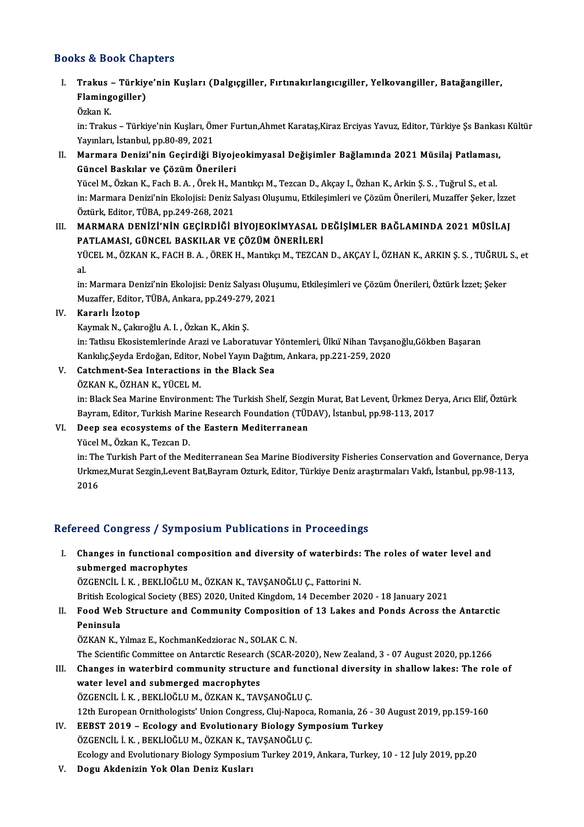#### Books&Book Chapters

ooks & Book Chapters<br>I. Trakus – Türkiye'nin Kuşları (Dalgıçgiller, Fırtınakırlangıcıgiller, Yelkovangiller, Batağangiller,<br>Rlamingegiller) to & Book and<br>Trakus – Türkiy<br>Flamingogiller)<br>Örken <sup>V</sup> Trakus<br>Flaming<br>Özkan K.<br>in: <sup>Tralm</sup>

Flamingogiller)<br>Özkan K.<br>in: Trakus – Türkiye'nin Kuşları, Ömer Furtun,Ahmet Karataş,Kiraz Erciyas Yavuz, Editor, Türkiye Şs Bankası Kültür<br>Yavnları, İstanbul, np.80,80,2021 Özkan K.<br>in: Trakus – Türkiye'nin Kuşları, Ön<br>Yayınları, İstanbul, pp.80-89, 2021<br>Marmara Danizi'nin Gasindiži E in: Trakus – Türkiye'nin Kuşları, Ömer Furtun,Ahmet Karataş,Kiraz Erciyas Yavuz, Editor, Türkiye Şs Bankas<br>Yayınları, İstanbul, pp.80-89, 2021<br>II. Marmara Denizi'nin Geçirdiği Biyojeokimyasal Değişimler Bağlamında 2021 Müs

Yayınları, İstanbul, pp.80-89, 2021<br>Marmara Denizi'nin Geçirdiği Biyoje<br>Güncel Baskılar ve Çözüm Önerileri<br><sup>Vücel M. Örkan K. Fash B. A. Önek H. M</sub></sup> Marmara Denizi'nin Geçirdiği Biyojeokimyasal Değişimler Bağlamında 2021 Müsilaj Patlaması<br>Güncel Baskılar ve Çözüm Önerileri<br>Yücel M., Özkan K., Fach B. A. , Örek H., Mantıkçı M., Tezcan D., Akçay I., Özhan K., Arkin Ş. S. Güncel Baskılar ve Çözüm Önerileri<br>Yücel M., Özkan K., Fach B. A. , Örek H., Mantıkçı M., Tezcan D., Akçay I., Özhan K., Arkin Ş. S. , Tuğrul S., et al.<br>in: Marmara Denizi'nin Ekolojisi: Deniz Salyası Oluşumu, Etkileşimler Yücel M., Özkan K., Fach B. A. , Örek H., M<br>in: Marmara Denizi'nin Ekolojisi: Deniz S<br>Öztürk, Editor, TÜBA, pp.249-268, 2021<br>MARMARA, DENİZİ'NİN GEGİRDİĞİ E

in: Marmara Denizi'nin Ekolojisi: Deniz Salyası Oluşumu, Etkileşimleri ve Çözüm Önerileri, Muzaffer Şeker, İzzet<br>Öztürk, Editor, TÜBA, pp.249-268, 2021<br>III. MARMARA DENİZİ'NİN GEÇİRDİĞİ BİYOJEOKİMYASAL DEĞİŞİMLER BAĞLA PATLAMASI, GÜNCEL BASKILAR VE ÇÖZÜM ÖNERİLERİ

YÜCEL M., ÖZKAN K., FACH B. A. , ÖREK H., Mantıkçı M., TEZCAN D., AKÇAY İ., ÖZHAN K., ARKIN Ş. S. , TUĞRUL S., et<br>al. PA<br>YÜ<br>al. YÜCEL M., ÖZKAN K., FACH B. A. , ÖREK H., Mantıkçı M., TEZCAN D., AKÇAY İ., ÖZHAN K., ARKIN Ş. S. , TUĞRUL<br>al.<br>in: Marmara Denizi'nin Ekolojisi: Deniz Salyası Oluşumu, Etkileşimleri ve Çözüm Önerileri, Öztürk İzzet; Şeker

al.<br>in: Marmara Denizi'nin Ekolojisi: Deniz Salyası Oluş<br>Muzaffer, Editor, TÜBA, Ankara, pp.249-279, 2021<br>Kanarlı İsoten Muzaffer, Editor, TÜBA, Ankara, pp.249-279, 2021<br>IV. Kararlı İzotop

KaymakN.,ÇakıroğluA. I. ,ÖzkanK.,AkinŞ.

Kararlı İzotop<br>Kaymak N., Çakıroğlu A. I. , Özkan K., Akin Ş.<br>in: Tatlısu Ekosistemlerinde Arazi ve Laboratuvar Yöntemleri, Ülkü Nihan Tavşanoğlu,Gökben Başaran<br>Kanlaka Savda Erdoğan, Editar, Nobel Yayın Doğtun, Ankara, np Kaymak N., Çakıroğlu A. I. , Özkan K., Akin Ş.<br>in: Tatlısu Ekosistemlerinde Arazi ve Laboratuvar Yöntemleri, Ülkü Nihan Tavşar<br>Kankılıç,Şeyda Erdoğan, Editor, Nobel Yayın Dağıtım, Ankara, pp.221-259, 2020<br>Catahmant Sea Int in: Tatlısu Ekosistemlerinde Arazi ve Laboratuvar<br>Kankılıç,Şeyda Erdoğan, Editor, Nobel Yayın Dağıtı<br>V. Catchment-Sea Interactions in the Black Sea<br>ÖZVAN V. ÖZHAN V. VÜCEL M Kankılıç,Şeyda Erdoğan, Editor,<br>Catchment-Sea Interactions<br>ÖZKAN K., ÖZHAN K., YÜCEL M.<br>in: Plask Sea Marine Envirenme

ÖZKAN K., ÖZHAN K., YÜCEL M.<br>in: Black Sea Marine Environment: The Turkish Shelf, Sezgin Murat, Bat Levent, Ürkmez Derya, Arıcı Elif, Öztürk ÖZKAN K., ÖZHAN K., YÜCEL M.<br>in: Black Sea Marine Environment: The Turkish Shelf, Sezgin Murat, Bat Levent, Ürkmez Der<br>Bayram, Editor, Turkish Marine Research Foundation (TÜDAV), İstanbul, pp.98-113, 2017<br>Deen sea asasıyıs Bayram, Editor, Turkish Mari<br>Deep sea ecosystems of t<br>Yücel M., Özkan K., Tezcan D.<br>in: The Turkish Part of the M

VI. Deep sea ecosystems of the Eastern Mediterranean<br>Yücel M., Özkan K., Tezcan D.

Deep sea ecosystems of the Eastern Mediterranean<br>Yücel M., Özkan K., Tezcan D.<br>in: The Turkish Part of the Mediterranean Sea Marine Biodiversity Fisheries Conservation and Governance, Derya<br>Urkmaz Murat Sezgin Lavent Pat B Yücel M., Özkan K., Tezcan D.<br>in: The Turkish Part of the Mediterranean Sea Marine Biodiversity Fisheries Conservation and Governance, De<br>Urkmez,Murat Sezgin,Levent Bat,Bayram Ozturk, Editor, Türkiye Deniz araştırmaları Va in: The<br>Urkme<br>2016

# 2016<br>Refereed Congress / Symposium Publications in Proceedings

efereed Congress / Symposium Publications in Proceedings<br>I. Changes in functional composition and diversity of waterbirds: The roles of water level and<br>submersed magnephytes submerged macrophytes<br>submerged macrophytes<br>dzerweit i v prvtiočtu Changes in functional composition and diversity of waterbirds:<br>submerged macrophytes<br>ÖZGENCİL İ.K., BEKLİOĞLU M., ÖZKAN K., TAVŞANOĞLU Ç., Fattorini N.<br>Pritish Eselegisel Sosisty (BES) 2020 United Kingdom 14 Desember 20 submerged macrophytes<br>ÖZGENCİL İ. K. , BEKLİOĞLU M., ÖZKAN K., TAVŞANOĞLU Ç., Fattorini N.<br>British Ecological Society (BES) 2020, United Kingdom, 14 December 2020 - 18 January 2021<br>Food Web Strugture and Community Composit

ÖZGENCİL İ. K. , BEKLİOĞLU M., ÖZKAN K., TAVŞANOĞLU Ç., Fattorini N.<br>British Ecological Society (BES) 2020, United Kingdom, 14 December 2020 - 18 January 2021<br>II. Food Web Structure and Community Composition of 13 Lakes British Ecol<br>Food Web<br>Peninsula<br>ÖZKANK N

ÖZKAN K., Yılmaz E., KochmanKedziorac N., SOLAK C. N.

Peninsula<br>ÖZKAN K., Yılmaz E., KochmanKedziorac N., SOLAK C. N.<br>The Scientific Committee on Antarctic Research (SCAR-2020), New Zealand, 3 - 07 August 2020, pp.1266<br>Changes in waterbird community structure and functional d

ÖZKAN K., Yılmaz E., KochmanKedziorac N., SOLAK C. N.<br>The Scientific Committee on Antarctic Research (SCAR-2020), New Zealand, 3 - 07 August 2020, pp.1266<br>III. Changes in waterbird community structure and functional divers The Scientific Committee on Antarctic Research<br>Changes in waterbird community structure<br>water level and submerged macrophytes<br>ÖZCENCU LK, PEKLIOČUJM ÖZKANK, TAV Changes in waterbird community structure and func<br>water level and submerged macrophytes<br>ÖZGENCİL İ.K., BEKLİOĞLUM., ÖZKAN K., TAVŞANOĞLUÇ.<br>12th European Ornithologists' Union Congress Clui Naposa water level and submerged macrophytes<br>ÖZGENCİL İ. K. , BEKLİOĞLU M., ÖZKAN K., TAVŞANOĞLU Ç.<br>12th European Ornithologists' Union Congress, Cluj-Napoca, Romania, 26 - 30 August 2019, pp.159-160

ÖZGENCİL İ. K. , BEKLİOĞLU M., ÖZKAN K., TAVŞANOĞLU Ç.<br>12th European Ornithologists' Union Congress, Cluj-Napoca, Romania, 26 - 30<br>IV. EEBST 2019 – Ecology and Evolutionary Biology Symposium Turkey<br>ÖZGENCU İ. K. PEKL 12th European Ornithologists' Union Congress, Cluj-Napoca<br>EEBST 2019 – Ecology and Evolutionary Biology Syn<br>ÖZGENCİL İ.K., BEKLİOĞLU M., ÖZKAN K., TAVŞANOĞLU Ç.<br>Feology and Evolutionary Biology Symposium Turkay 2010

ÖZGENCİL İ. K. , BEKLİOĞLU M., ÖZKAN K., TAVŞANOĞLU Ç.<br>Ecology and Evolutionary Biology Symposium Turkey 2019, Ankara, Turkey, 10 - 12 July 2019, pp.20

V. Dogu Akdenizin Yok Olan Deniz Kusları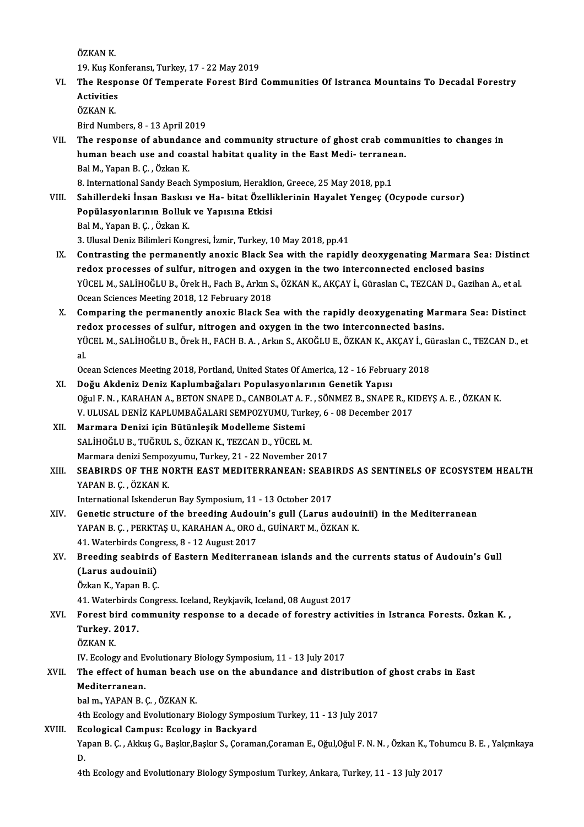ÖZKAN<sub>K.</sub>

19.KuşKonferansı,Turkey,17 -22May2019

ÖZKAN K.<br>19. Kuş Konferansı, Turkey, 17 - 22 May 2019<br>VI. The Response Of Temperate Forest Bird Communities Of Istranca Mountains To Decadal Forestry<br>Activities 19. Kuş Ko<br>The Respo<br>Activities<br>ÖZKAN K The Resp<br>Activities<br>ÖZKAN K.<br><sup>Pird Num</sub>l</sup> Activities<br>ÖZKAN K.<br>Bird Numbers, 8 - 13 April 2019

ÖZKAN K.<br>Bird Numbers, 8 - 13 April 2019<br>VII. The response of abundance and community structure of ghost crab communities to changes in<br>human baseb use and soastal babitat suality in the East Medi, terranean Bird Numbers, 8 - 13 April 2019<br>The response of abundance and community structure of ghost crab comn<br>human beach use and coastal habitat quality in the East Medi- terranean.<br>Pal M. Yapan P. C. Öskan K. The response of abundan<br>human beach use and coa<br>Bal M., Yapan B. Ç. , Özkan K.<br>8. International Sandy Beach human beach use and coastal habitat quality in the East Medi- terrane:<br>Bal M., Yapan B. Ç. , Özkan K.<br>8. International Sandy Beach Symposium, Heraklion, Greece, 25 May 2018, pp.1<br>Sabillardaki İnsan Beakısı ve Ha, bitat Öze Bal M., Yapan B. Ç. , Özkan K.<br>8. International Sandy Beach Symposium, Heraklion, Greece, 25 May 2018, pp.1<br>VIII. Sahillerdeki İnsan Baskısı ve Ha- bitat Özelliklerinin Hayalet Yengeç (Ocypode cursor)<br>Ponülasyonlarının Bal

- 8. International Sandy Beach Symposium, Herakli<br>Sahillerdeki İnsan Baskısı ve Ha- bitat Özelli<br>Popülasyonlarının Bolluk ve Yapısına Etkisi<br>Pol M. Yapan B. G. Özkan K Sahillerdeki İnsan Baskıs:<br>Popülasyonlarının Bolluk<br>Bal M., Yapan B. Ç. , Özkan K.<br>2. Ulusal Doniz Bilimleri Kona Popülasyonlarının Bolluk ve Yapısına Etkisi<br>Bal M., Yapan B. Ç. , Özkan K.<br>3. Ulusal Deniz Bilimleri Kongresi, İzmir, Turkey, 10 May 2018, pp.41
- Bal M., Yapan B. Ç. , Özkan K.<br>3. Ulusal Deniz Bilimleri Kongresi, İzmir, Turkey, 10 May 2018, pp.41<br>IX. Contrasting the permanently anoxic Black Sea with the rapidly deoxygenating Marmara Sea: Distinct<br>redex presences 3. Ulusal Deniz Bilimleri Kongresi, İzmir, Turkey, 10 May 2018, pp.41<br>Contrasting the permanently anoxic Black Sea with the rapidly deoxygenating Marmara Sea<br>The two processes of sulfur, nitrogen and oxygen in the two inte Contrasting the permanently anoxic Black Sea with the rapidly deoxygenating Marmara Sea: Distine<br>redox processes of sulfur, nitrogen and oxygen in the two interconnected enclosed basins<br>YÜCEL M., SALİHOĞLU B., Örek H., Fac redox processes of sulfur, nitrogen and oxy<br>YÜCEL M., SALİHOĞLU B., Örek H., Fach B., Arkın S<br>Ocean Sciences Meeting 2018, 12 February 2018<br>Companing the permenently enevis Blask Se YÜCEL M., SALİHOĞLU B., Örek H., Fach B., Arkın S., ÖZKAN K., AKÇAY İ., Güraslan C., TEZCAN D., Gazihan A., et al.<br>Ocean Sciences Meeting 2018, 12 February 2018<br>X. Comparing the permanently anoxic Black Sea with the rapidl
- Ocean Sciences Meeting 2018, 12 February 2018<br>Comparing the permanently anoxic Black Sea with the rapidly deoxygenating Mar<br>redox processes of sulfur, nitrogen and oxygen in the two interconnected basins.<br>VÜCEL M. SALİHOĞL Comparing the permanently anoxic Black Sea with the rapidly deoxygenating Marmara Sea: Distinct<br>redox processes of sulfur, nitrogen and oxygen in the two interconnected basins.<br>YÜCEL M., SALİHOĞLU B., Örek H., FACH B. A. , re<br>YÜ<br>al. YÜCEL M., SALİHOĞLU B., Örek H., FACH B. A. , Arkın S., AKOĞLU E., ÖZKAN K., AKÇAY İ., Güraslan C., TEZCAN D., et<br>al.<br>Ocean Sciences Meeting 2018, Portland, United States Of America, 12 - 16 February 2018

- XI. Doğu Akdeniz Deniz Kaplumbağaları Populasyonlarının Genetik Yapısı OğulF.N. ,KARAHANA.,BETONSNAPED.,CANBOLATA.F. ,SÖNMEZB.,SNAPER.,KIDEYŞA.E. ,ÖZKANK. Doğu Akdeniz Deniz Kaplumbağaları Populasyonlarının Genetik Yapısı<br>Oğul F. N. , KARAHAN A., BETON SNAPE D., CANBOLAT A. F. , SÖNMEZ B., SNAPE R., KI<br>V. ULUSAL DENİZ KAPLUMBAĞALARI SEMPOZYUMU, Turkey, 6 - 08 December 2017<br>M
- XII. Marmara Denizi için Bütünleşik Modelleme Sistemi<br>SALİHOĞLU B., TUĞRUL S., ÖZKAN K., TEZCAN D., YÜCEL M. V. ULUSAL DENİZ KAPLUMBAĞALARI SEMPOZYUMU, Turke<br><mark>Marmara Denizi için Bütünleşik Modelleme Sistemi</mark><br>SALİHOĞLU B., TUĞRUL S., ÖZKAN K., TEZCAN D., YÜCEL M.<br>Marmara danizi Samnazızımı, Turkay, 21, ...22 Navambar 2 Marmara denizi Sempozyumu, Turkey, 21 - 22 November 2017
- SALİHOĞLU B., TUĞRUL S., ÖZKAN K., TEZCAN D., YÜCEL M.<br>Marmara denizi Sempozyumu, Turkey, 21 22 November 2017<br>XIII. SEABIRDS OF THE NORTH EAST MEDITERRANEAN: SEABIRDS AS SENTINELS OF ECOSYSTEM HEALTH<br>XARAN B.C. ÖZKAN K Marmara denizi Sempo:<br>SEABIRDS OF THE NONER<br>YAPAN B.Ç.,ÖZKAN K.<br>International Islandoru SEABIRDS OF THE NORTH EAST MEDITERRANEAN: SEABI<br>YAPAN B. Ç. , ÖZKAN K.<br>International Iskenderun Bay Symposium, 11 - 13 October 2017<br>Constis structure of the breeding Audeuin's sull (Lerus s

- YAPAN B. Ç. , ÖZKAN K.<br>International Iskenderun Bay Symposium, 11 13 October 2017<br>XIV. Genetic structure of the breeding Audouin's gull (Larus audouinii) in the Mediterranean<br>XARAN B. G. BERKTAS IL KARAHAN A. ORO 4. CUIN International Iskenderun Bay Symposium, 11 - 13 October 2017<br>Genetic structure of the breeding Audouin's gull (Larus audou<br>YAPAN B. Ç. , PERKTAŞ U., KARAHAN A., ORO d., GUİNART M., ÖZKAN K.<br>41 Watarbirds Congress, 8, .13 A Genetic structure of the breeding Audou<br>YAPAN B. Ç. , PERKTAŞ U., KARAHAN A., ORO o<br>41. Waterbirds Congress, 8 - 12 August 2017<br>Preeding seebirds of Eastern Mediterres 41. Waterbirds Congress, 8 - 12 August 2017
- YAPAN B. Ç., PERKTAŞ U., KARAHAN A., ORO d., GUİNART M., ÖZKAN K.<br>41. Waterbirds Congress, 8 12 August 2017<br>XV. Breeding seabirds of Eastern Mediterranean islands and the currents status of Audouin's Gull<br>(Larus audouini ÖzkanK.,YapanB.Ç. (Larus audouinii)<br>Özkan K., Yapan B. Ç.<br>41. Waterbirds Congress. Iceland, Reykjavik, Iceland, 08 August 2017<br>Forest bird.community response to a desede of forestru astiv

Özkan K., Yapan B. Ç.<br>41. Waterbirds Congress. Iceland, Reykjavik, Iceland, 08 August 2017<br>XVI. Forest bird community response to a decade of forestry activities in Istranca Forests. Özkan K. ,<br>Turkey, 2017 41. Waterbirds<br>Forest bird co<br>Turkey. 2017.<br>ÖZKAN K Forest bi<br>Turkey. 2<br>ÖZKAN K.<br>W. Eseleg Turkey. 2017.<br>ÖZKAN K.<br>IV. Ecology and Evolutionary Biology Symposium, 11 - 13 July 2017<br>The effect of human beash use an the abundance and distrik

## ÖZKAN K.<br>IV. Ecology and Evolutionary Biology Symposium, 11 - 13 July 2017<br>XVII. The effect of human beach use on the abundance and distribution of ghost crabs in East<br>Mediterranean IV. Ecology and E<br><mark>The effect of hu</mark><br>Mediterranean.<br>bel m. YARAN B. The effect of human beach<br>Mediterranean.<br>bal m., YAPAN B. Ç. , ÖZKAN K.<br>4th Ecology and Evolutionew. Mediterranean.<br>bal m., YAPAN B. Ç. , ÖZKAN K.<br>4th Ecology and Evolutionary Biology Symposium Turkey, 11 - 13 July 2017

### XVIII. Ecological Campus: Ecology in Backyard

Yapan B. Ç. , Akkuş G., Başkır,Başkır S., Çoraman,Çoraman E., Oğul,Oğul F. N. N. , Özkan K., Tohumcu B. E. , Yalçınkaya<br>D. Ec<br>Ya<br>D.

4th Ecology and Evolutionary Biology Symposium Turkey, Ankara, Turkey, 11 - 13 July 2017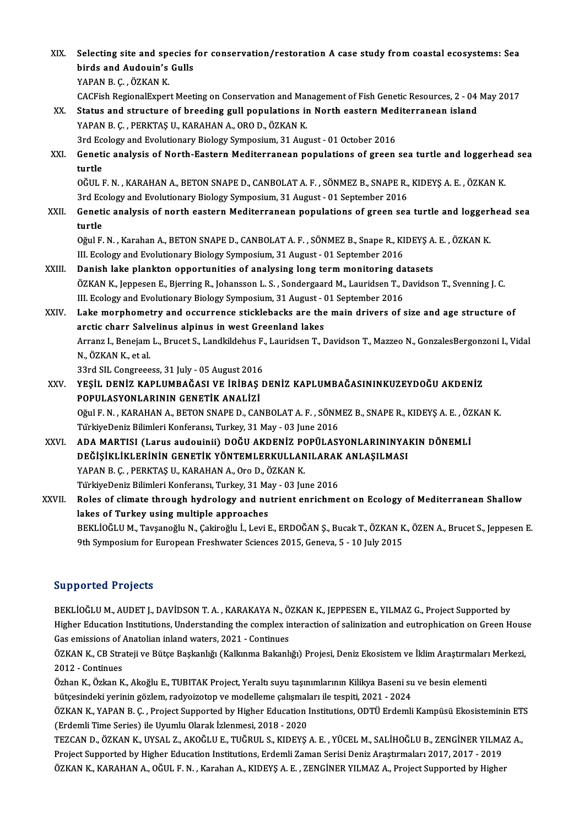XIX. Selecting site and species for conservation/restoration A case study from coastal ecosystems: Sea<br>hinds and Audovin's Culls Selecting site and species<br>birds and Audouin's Gulls<br>XARAN B.C. ÖZKAN K birds and Audouin's Gulls<br>YAPAN B. C. , ÖZKAN K. birds and Audouin's Gulls<br>YAPAN B. Ç. , ÖZKAN K.<br>CACFish RegionalExpert Meeting on Conservation and Management of Fish Genetic Resources, 2 - 04 May 2017<br>Status and structure of breading gull nopulations in North esstern M YAPAN B. Ç. , ÖZKAN K.<br>CACFish RegionalExpert Meeting on Conservation and Management of Fish Genetic Resources, 2 - 04<br>XX. Status and structure of breeding gull populations in North eastern Mediterranean island<br>YAPAN B. G. CACFish RegionalExpert Meeting on Conservation and Mark<br>Status and structure of breeding gull populations in<br>YAPAN B. Ç. , PERKTAŞ U., KARAHAN A., ORO D., ÖZKAN K.<br>2rd Ecology and Evolutionary Biology Symnosium 31 Aug Status and structure of breeding gull populations in North eastern Med<br>YAPAN B. Ç. , PERKTAŞ U., KARAHAN A., ORO D., ÖZKAN K.<br>3rd Ecology and Evolutionary Biology Symposium, 31 August - 01 October 2016<br>Constis analysis of YAPAN B. Ç. , PERKTAŞ U., KARAHAN A., ORO D., ÖZKAN K.<br>3rd Ecology and Evolutionary Biology Symposium, 31 August - 01 October 2016<br>XXI. Genetic analysis of North-Eastern Mediterranean populations of green sea turtle an 3rd Ecology and Evolutionary Biology Symposium, 31 August - 01 October 2016 Genetic analysis of North-Eastern Mediterranean populations of green sea turtle and loggerheat<br>turtle<br>OĞUL F.N. , KARAHAN A., BETON SNAPE D., CANBOLAT A. F. , SÖNMEZ B., SNAPE R., KIDEYŞ A. E. , ÖZKAN K.<br>2rd Ecclegy and Ev turtle<br>OĞUL F. N. , KARAHAN A., BETON SNAPE D., CANBOLAT A. F. , SÖNMEZ B., SNAPE R.,<br>3rd Ecology and Evolutionary Biology Symposium, 31 August - 01 September 2016<br>Conetis analysis of north eastern Mediterranean nonulation OĞUL F. N. , KARAHAN A., BETON SNAPE D., CANBOLAT A. F. , SÖNMEZ B., SNAPE R., KIDEYŞ A. E. , ÖZKAN K.<br>3rd Ecology and Evolutionary Biology Symposium, 31 August - 01 September 2016<br>XXII. Genetic analysis of north eastern M 3rd Ecology and Evolutionary Biology Symposium, 31 August - 01 September 2016<br>Genetic analysis of north eastern Mediterranean populations of green sea turtle and loggerhead sea<br>turtle Genetic analysis of north eastern Mediterranean populations of green sea turtle and loggerl<br>turtle<br>Oğul F. N. , Karahan A., BETON SNAPE D., CANBOLAT A. F. , SÖNMEZ B., Snape R., KIDEYŞ A. E. , ÖZKAN K.<br>III. Eselegy and Eve turtle<br>Oğul F. N. , Karahan A., BETON SNAPE D., CANBOLAT A. F. , SÖNMEZ B., Snape R., KI<br>III. Ecology and Evolutionary Biology Symposium, 31 August - 01 September 2016<br>Panish Jake Plankten ennestunities of analysing lang t Oğul F. N., Karahan A., BETON SNAPE D., CANBOLAT A. F., SÖNMEZ B., Snape R., KIDEYS A<br>III. Ecology and Evolutionary Biology Symposium, 31 August - 01 September 2016<br>XXIII. Danish lake plankton opportunities of analysing lo III. Ecology and Evolutionary Biology Symposium, 31 August - 01 September 2016<br>Danish lake plankton opportunities of analysing long term monitoring datasets<br>ÖZKAN K., Jeppesen E., Bjerring R., Johansson L. S. , Sondergaard Danish lake plankton opportunities of analysing long term monitoring datasets XXIV. Lakemorphometry and occurrence sticklebacks are themain drivers of size and age structure of III. Ecology and Evolutionary Biology Symposium, 31 August - (<br>Lake morphometry and occurrence sticklebacks are the<br>arctic charr Salvelinus alpinus in west Greenland lakes<br>Arrong L. Bonsiam L. Bruset S. Landbildsbus E. Lau Arranz I., Benejam L., Brucet S., Landkildehus F., Lauridsen T., Davidson T., Mazzeo N., GonzalesBergonzoni I., Vidal<br>N., ÖZKAN K., et al. arctic charr Salv<br>Arranz I., Benejam<br>N., ÖZKAN K., et al.<br><sup>22rd SU. Congreee</sup> Arranz I., Benejam L., Brucet S., Landkildehus F.<br>N., ÖZKAN K., et al.<br>33rd SIL Congreeess, 31 July - 05 August 2016<br>vesit : DENİZ KABLJIMBAĞASI VE İRİRAS F XXV. YEŞİL DENİZ KAPLUMBAĞASI VE İRİBAŞ DENİZ KAPLUMBAĞASININKUZEYDOĞU AKDENİZ<br>POPULASYONLARININ GENETİK ANALİZİ 33rd SIL Congreeess, 31 July - 05 August 2016<br>YEŞİL DENİZ KAPLUMBAĞASI VE İRİBAŞ<br>POPULASYONLARININ GENETİK ANALİZİ<br>Oğule N. KARAHANA BETON SNAPE D. GAL YEŞİL DENİZ KAPLUMBAĞASI VE İRİBAŞ DENİZ KAPLUMBAĞASININKUZEYDOĞU AKDENİZ<br>POPULASYONLARININ GENETİK ANALİZİ<br>Oğul F. N. , KARAHAN A., BETON SNAPE D., CANBOLAT A. F. , SÖNMEZ B., SNAPE R., KIDEYŞ A. E. , ÖZKAN K.<br>TürkiyoDoni POPULASYONLARININ GENETİK ANALİZİ<br>Oğul F. N. , KARAHAN A., BETON SNAPE D., CANBOLAT A. F. , SÖNM<br>TürkiyeDeniz Bilimleri Konferansı, Turkey, 31 May - 03 June 2016<br>ADA MARTISI (Larus audouinii), DOĞU AKDENİZ POPÜLASI Oğul F. N. , KARAHAN A., BETON SNAPE D., CANBOLAT A. F. , SÖNMEZ B., SNAPE R., KIDEYŞ A. E. , ÖZ<br>TürkiyeDeniz Bilimleri Konferansı, Turkey, 31 May - 03 June 2016<br>XXVI. ADA MARTISI (Larus audouinii) DOĞU AKDENİZ POPÜLAS TürkiyeDeniz Bilimleri Konferansı, Turkey, 31 May - 03 June 2016<br>ADA MARTISI (Larus audouinii) DOĞU AKDENİZ POPÜLASYONLARININYA<br>DEĞİŞİKLİKLERİNİN GENETİK YÖNTEMLERKULLANILARAK ANLAŞILMASI<br>YARAN B.C., RERKTAS II, KARAHAN A. ADA MARTISI (Larus audouinii) DOĞU AKDENİZ PO<br>DEĞİŞİKLİKLERİNİN GENETİK YÖNTEMLERKULLAN<br>YAPAN B. Ç. , PERKTAŞ U., KARAHAN A., Oro D., ÖZKAN K.<br>TürkiyoDoniz Bilimleri Konferensı Turkey 21 Mey -02 lu DEĞİŞİKLİKLERİNİN GENETİK YÖNTEMLERKULLANILARAK<br>YAPAN B. Ç. , PERKTAŞ U., KARAHAN A., Oro D., ÖZKAN K.<br>TürkiyeDeniz Bilimleri Konferansı, Turkey, 31 May - 03 June 2016<br>Polas of alimata through hydrologu and nutriant anrish YAPAN B. Ç. , PERKTAŞ U., KARAHAN A., Oro D., ÖZKAN K.<br>TürkiyeDeniz Bilimleri Konferansı, Turkey, 31 May - 03 June 2016<br>XXVII. Roles of climate through hydrology and nutrient enrichment on Ecology of Mediterranean Shal TürkiyeDeniz Bilimleri Konferansı, Turkey, 31 Ma<br>Roles of climate through hydrology and nu<br>lakes of Turkey using multiple approaches<br>PEKLIOČLUM Taveaneğlu N. Cakineğlu L. Levi L Roles of climate through hydrology and nutrient enrichment on Ecology of Mediterranean Shallow<br>lakes of Turkey using multiple approaches<br>BEKLİOĞLU M., Tavşanoğlu N., Çakiroğlu İ., Levi E., ERDOĞAN Ş., Bucak T., ÖZKAN K., Ö lakes of Turkey using multiple approaches<br>BEKLİOĞLU M., Tavşanoğlu N., Çakiroğlu İ., Levi E., ERDOĞAN Ş., Bucak T., ÖZKAN K., ÖZEN A., Brucet S., Jeppesen E.<br>9th Symposium for European Freshwater Sciences 2015, Geneva, 5 -

## Supported Projects

BEKLİOĞLU M., AUDET J., DAVİDSON T. A., KARAKAYA N., ÖZKAN K., JEPPESEN E., YILMAZ G., Project Supported by BEKLİOĞLU M., AUDET J., DAVİDSON T. A. , KARAKAYA N., ÖZKAN K., JEPPESEN E., YILMAZ G., Project Supported by<br>Higher Education Institutions, Understanding the complex interaction of salinization and eutrophication on Green BEKLİOĞLU M., AUDET J., DAVİDSON T. A. , KARAKAYA N., Ö<br>Higher Education Institutions, Understanding the complex ir<br>Gas emissions of Anatolian inland waters, 2021 - Continues<br>ÖZKAN K. CB Strateji ve Bütse Baskaplığı (Kalla Higher Education Institutions, Understanding the complex interaction of salinization and eutrophication on Green Hous<br>Gas emissions of Anatolian inland waters, 2021 - Continues<br>ÖZKAN K., CB Strateji ve Bütçe Başkanlığı (Ka

Gas emissions of Anatolian inland waters, 2021 - Continues ÖZKAN K., CB Strateji ve Bütçe Başkanlığı (Kalkınma Bakanlı<br>2012 - Continues ÖZKAN K., CB Strateji ve Bütçe Başkanlığı (Kalkınma Bakanlığı) Projesi, Deniz Ekosistem ve İklim Araştırmaları Merkezi,<br>2012 - Continues<br>Özhan K., Özkan K., Akoğlu E., TUBITAK Project, Yeraltı suyu taşınımlarının Kilikya B

Özhan K., Özkan K., Akoğlu E., TUBITAK Project, Yeraltı suyu taşınımlarının Kilikya Baseni su ve besin elementi Özhan K., Özkan K., Akoğlu E., TUBITAK Project, Yeraltı suyu taşınımlarının Kilikya Baseni su ve besin elementi<br>bütçesindeki yerinin gözlem, radyoizotop ve modelleme çalışmaları ile tespiti, 2021 - 2024<br>ÖZKAN K., YAPAN B.

bütçesindeki yerinin gözlem, radyoizotop ve modelleme çalışmalı<br>ÖZKAN K., YAPAN B. Ç. , Project Supported by Higher Education I<br>(Erdemli Time Series) ile Uyumlu Olarak İzlenmesi, 2018 - 2020<br>TEZCAN D. ÖZKAN K. UYSAL Z. AKO ÖZKAN K., YAPAN B. Ç. , Project Supported by Higher Education Institutions, ODTÜ Erdemli Kampüsü Ekosisteminin ET<br>(Erdemli Time Series) ile Uyumlu Olarak İzlenmesi, 2018 - 2020<br>TEZCAN D., ÖZKAN K., UYSAL Z., AKOĞLU E., TUĞ

(Erdemli Time Series) ile Uyumlu Olarak İzlenmesi, 2018 - 2020<br>TEZCAN D., ÖZKAN K., UYSAL Z., AKOĞLU E., TUĞRUL S., KIDEYŞ A. E. , YÜCEL M., SALİHOĞLU B., ZENGİNER YILMA<br>Project Supported by Higher Education Institutions, TEZCAN D., ÖZKAN K., UYSAL Z., AKOĞLU E., TUĞRUL S., KIDEYŞ A. E. , YÜCEL M., SALİHOĞLU B., ZENGİNER YILMA<br>Project Supported by Higher Education Institutions, Erdemli Zaman Serisi Deniz Araştırmaları 2017, 2017 - 2019<br>ÖZKA